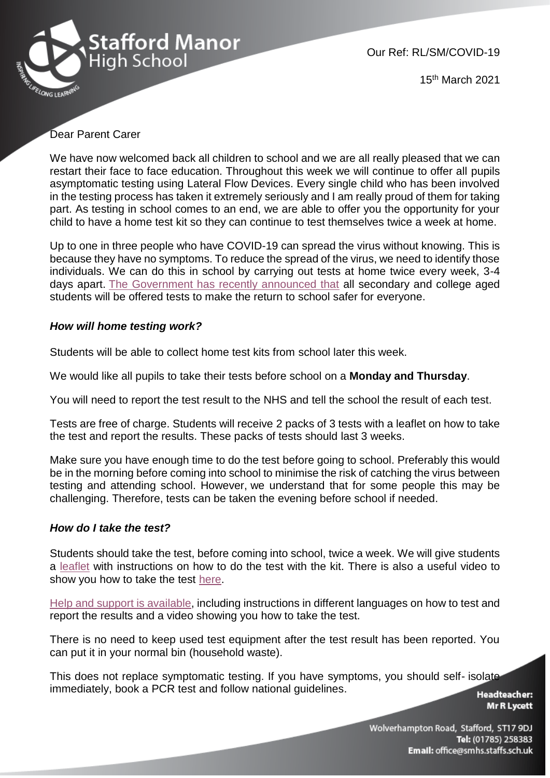

Our Ref: RL/SM/COVID-19

15th March 2021

# Dear Parent Carer

We have now welcomed back all children to school and we are all really pleased that we can restart their face to face education. Throughout this week we will continue to offer all pupils asymptomatic testing using Lateral Flow Devices. Every single child who has been involved in the testing process has taken it extremely seriously and I am really proud of them for taking part. As testing in school comes to an end, we are able to offer you the opportunity for your child to have a home test kit so they can continue to test themselves twice a week at home.

Up to one in three people who have COVID-19 can spread the virus without knowing. This is because they have no symptoms. To reduce the spread of the virus, we need to identify those individuals. We can do this in school by carrying out tests at home twice every week, 3-4 days apart. [The Government has recently announced that](https://www.gov.uk/guidance/rapid-lateral-flow-testing-for-households-and-bubbles-of-school-pupils-and-staff) all secondary and college aged students will be offered tests to make the return to school safer for everyone.

## *How will home testing work?*

Students will be able to collect home test kits from school later this week.

We would like all pupils to take their tests before school on a **Monday and Thursday**.

You will need to report the test result to the NHS and tell the school the result of each test.

Tests are free of charge. Students will receive 2 packs of 3 tests with a leaflet on how to take the test and report the results. These packs of tests should last 3 weeks.

Make sure you have enough time to do the test before going to school. Preferably this would be in the morning before coming into school to minimise the risk of catching the virus between testing and attending school. However, we understand that for some people this may be challenging. Therefore, tests can be taken the evening before school if needed.

## *How do I take the test?*

Students should take the test, before coming into school, twice a week. We will give students a [leaflet](https://www.gov.uk/government/publications/instructions-for-covid-19-self-test) with instructions on how to do the test with the kit. There is also a useful video to show you how to take the test [here.](https://www.youtube.com/watch?v=S9XR8RZxKNo&list=PLvaBZskxS7tzQYlVg7lwH5uxAD9UrSzGJ&index=1)

[Help and support is available,](https://www.gov.uk/guidance/covid-19-self-test-help) including instructions in different languages on how to test and report the results and a video showing you how to take the test.

There is no need to keep used test equipment after the test result has been reported. You can put it in your normal bin (household waste).

This does not replace symptomatic testing. If you have symptoms, you should self- isolate immediately, book a [PCR test](https://www.gov.uk/get-coronavirus-test%22%20/t%20%22_blank) and follow [national guidelines.](https://www.nhs.uk/conditions/coronavirus-covid-19/symptoms/%22%20/t%20%22_blank)

**Headteacher: Mr R Lycett**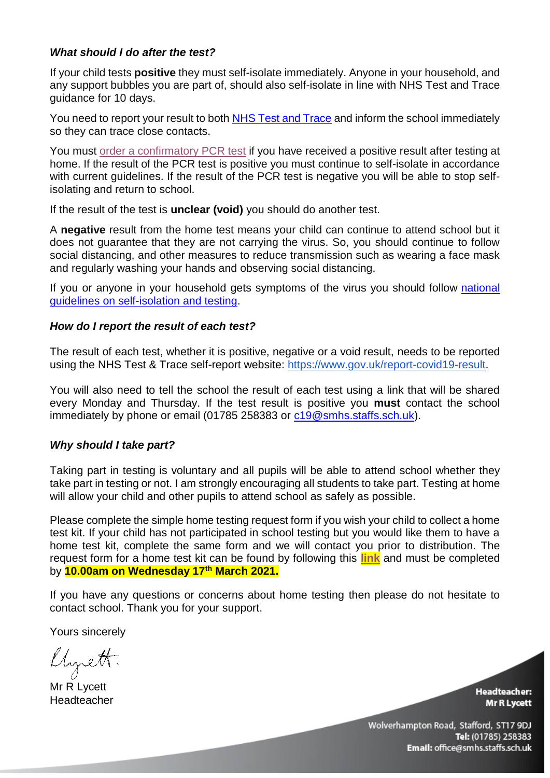# *What should I do after the test?*

If your child tests **positive** they must self-isolate immediately. Anyone in your household, and any support bubbles you are part of, should also self-isolate in line with NHS Test and Trace guidance for 10 days.

You need to report your result to both [NHS Test and Trace](https://www.gov.uk/report-covid19-result) and inform the school immediately so they can trace close contacts.

You must [order a confirmatory PCR test](https://www.gov.uk/get-coronavirus-test) if you have received a positive result after testing at home. If the result of the PCR test is positive you must continue to self-isolate in accordance with current guidelines. If the result of the PCR test is negative you will be able to stop selfisolating and return to school.

If the result of the test is **unclear (void)** you should do another test.

A **negative** result from the home test means your child can continue to attend school but it does not guarantee that they are not carrying the virus. So, you should continue to follow social distancing, and other measures to reduce transmission such as wearing a face mask and regularly washing your hands and observing social distancing.

If you or anyone in your household gets symptoms of the virus you should follow national [guidelines](https://www.nhs.uk/conditions/coronavirus-covid-19/symptoms/) on self-isolation and testing.

# *How do I report the result of each test?*

The result of each test, whether it is positive, negative or a void result, needs to be reported using the NHS Test & Trace self-report website: [https://www.gov.uk/report-covid19-result.](https://www.gov.uk/report-covid19-result)

You will also need to tell the school the result of each test using a link that will be shared every Monday and Thursday. If the test result is positive you **must** contact the school immediately by phone or email (01785 258383 or [c19@smhs.staffs.sch.uk\)](mailto:c19@smhs.staffs.sch.uk).

# *Why should I take part?*

Taking part in testing is voluntary and all pupils will be able to attend school whether they take part in testing or not. I am strongly encouraging all students to take part. Testing at home will allow your child and other pupils to attend school as safely as possible.

Please complete the simple home testing request form if you wish your child to collect a home test kit. If your child has not participated in school testing but you would like them to have a home test kit, complete the same form and we will contact you prior to distribution. The request form for a home test kit can be found by following this **[link](https://docs.google.com/forms/d/e/1FAIpQLSdwxgXJcyld8AWXTZh2UiqPRA0iRK7UTvwhIsDzWCP7ux4DCg/viewform?usp=sf_link)** and must be completed by **10.00am on Wednesday 17th March 2021.** 

If you have any questions or concerns about home testing then please do not hesitate to contact school. Thank you for your support.

Yours sincerely

Chrett.

Mr R Lycett Headteacher

**Headteacher: Mr R Lycett**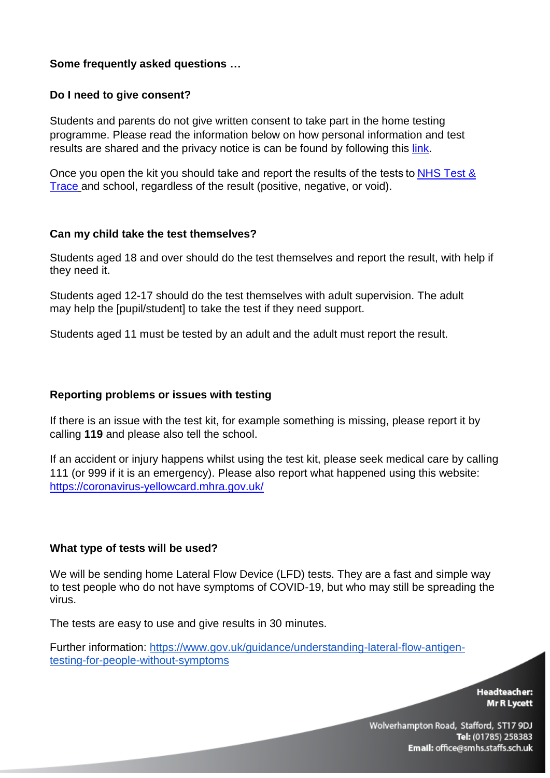# **Some frequently asked questions …**

## **Do I need to give consent?**

Students and parents do not give written consent to take part in the home testing programme. Please read the information below on how personal information and test results are shared and the privacy notice is can be found by following this [link.](https://www.gov.uk/government/publications/coronavirus-covid-19-testing-privacy-information/testing-for-coronavirus-privacy-information--2)

Once you open the kit you should take and report the results of the tests t[o NHS Test &](https://www.gov.uk/report-covid19-result)  [Trace](https://www.gov.uk/report-covid19-result) and school, regardless of the result (positive, negative, or void).

## **Can my child take the test themselves?**

Students aged 18 and over should do the test themselves and report the result, with help if they need it.

Students aged 12-17 should do the test themselves with adult supervision. The adult may help the [pupil/student] to take the test if they need support.

Students aged 11 must be tested by an adult and the adult must report the result.

### **Reporting problems or issues with testing**

If there is an issue with the test kit, for example something is missing, please report it by calling **119** and please also tell the school.

If an accident or injury happens whilst using the test kit, please seek medical care by calling 111 (or 999 if it is an emergency). Please also report what happened using this website: <https://coronavirus-yellowcard.mhra.gov.uk/>

#### **What type of tests will be used?**

We will be sending home Lateral Flow Device (LFD) tests. They are a fast and simple way to test people who do not have symptoms of COVID-19, but who may still be spreading the virus.

The tests are easy to use and give results in 30 minutes.

Further information: [https://www.gov.uk/guidance/understanding-lateral-flow-antigen](https://www.gov.uk/guidance/understanding-lateral-flow-antigen-testing-for-people-without-symptoms)[testing-for-people-without-symptoms](https://www.gov.uk/guidance/understanding-lateral-flow-antigen-testing-for-people-without-symptoms)

> **Headteacher:** Mr R Lycett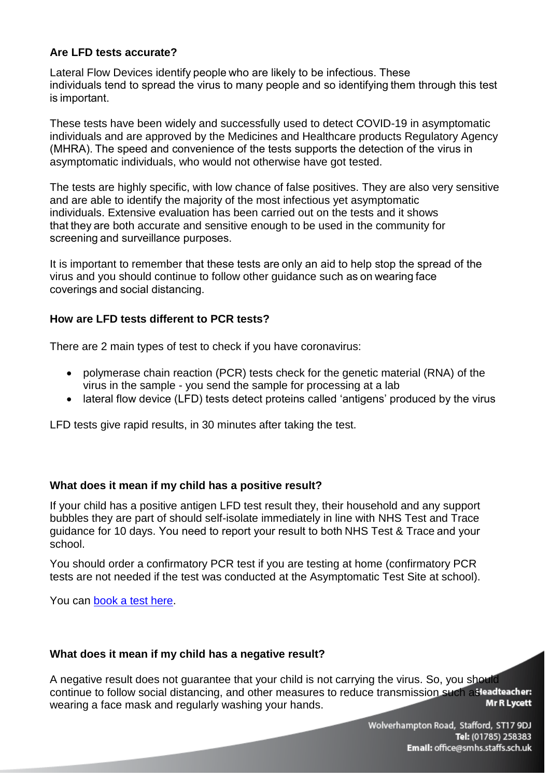# **Are LFD tests accurate?**

Lateral Flow Devices identify people who are likely to be infectious. These  individuals tend to spread the virus to many people and so identifying them through this test is important. 

These tests have been widely and successfully used to detect COVID-19 in asymptomatic individuals and are approved by the Medicines and Healthcare products Regulatory Agency (MHRA). The speed and convenience of the tests supports the detection of the virus in asymptomatic individuals, who would not otherwise have got tested.

The tests are highly specific, with low chance of false positives. They are also very sensitive and are able to identify the majority of the most infectious yet asymptomatic individuals. Extensive evaluation has been carried out on the tests and it shows that they are both accurate and sensitive enough to be used in the community for screening and surveillance purposes. 

It is important to remember that these tests are only an aid to help stop the spread of the virus and you should continue to follow other guidance such as on wearing face coverings and social distancing. 

# **How are LFD tests different to PCR tests?**

There are 2 main types of test to check if you have coronavirus:

- polymerase chain reaction (PCR) tests check for the genetic material (RNA) of the virus in the sample - you send the sample for processing at a lab
- lateral flow device (LFD) tests detect proteins called 'antigens' produced by the virus

LFD tests give rapid results, in 30 minutes after taking the test.

# **What does it mean if my child has a positive result?**

If your child has a positive antigen LFD test result they, their household and any support bubbles they are part of should self-isolate immediately in line with [NHS Test and Trace](https://www.gov.uk/government/publications/covid-19-stay-at-home-guidance%22%20/t%20%22_blank)  [guidance](https://www.gov.uk/government/publications/covid-19-stay-at-home-guidance%22%20/t%20%22_blank) for 10 days. You need to report your result to both[NHS Test & Trace](https://www.gov.uk/report-covid19-result)and your school.

You should order a confirmatory PCR test if you are testing at home (confirmatory PCR tests are not needed if the test was conducted at the Asymptomatic Test Site at school).

You can [book a test here.](https://www.gov.uk/get-coronavirus-test)

## **What does it mean if my child has a negative result?**

A negative result does not guarantee that your child is not carrying the virus. So, you should continue to follow social distancing, and other measures to reduce transmission such as lead teacher. **Mr R Lycett** wearing a face mask and regularly washing your hands.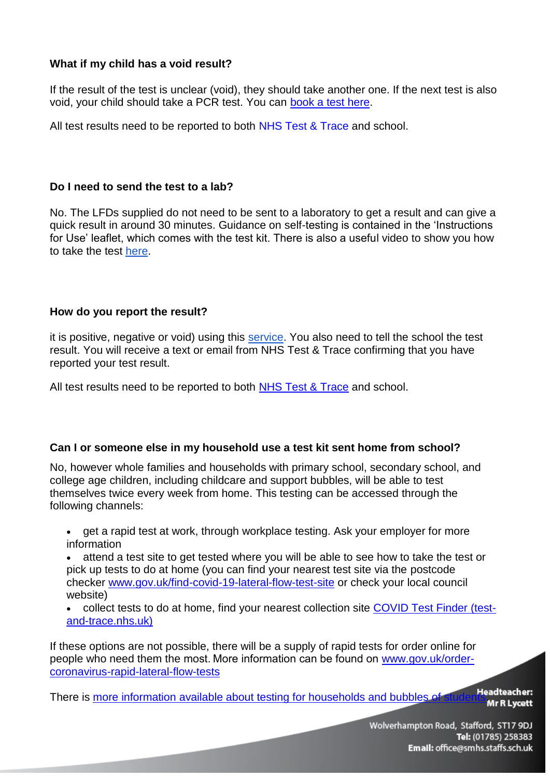# **What if my child has a void result?**

If the result of the test is unclear (void), they should take another one. If the next test is also void, your child should take a PCR test. You can book a [test here.](https://www.gov.uk/get-coronavirus-test)

All test results need to be reported to both [NHS Test & Trace](https://www.gov.uk/report-covid19-result) and school.

## **Do I need to send the test to a lab?**

No. The LFDs supplied do not need to be sent to a laboratory to get a result and can give a quick result in around 30 minutes. Guidance on self-testing is contained in the 'Instructions for Use' leaflet, which comes with the test kit. There is also a useful video to show you how to take the test [here.](https://www.youtube.com/watch?v=S9XR8RZxKNo&list=PLvaBZskxS7tzQYlVg7lwH5uxAD9UrSzGJ&index=1)

# **How do you report the result?**

it is positive, negative or void) using this [service.](https://www.gov.uk/report-covid19-result) You also need to tell the school the test result. You will receive a text or email from NHS Test & Trace confirming that you have reported your test result.

All test results need to be reported to both [NHS Test & Trace](https://www.gov.uk/report-covid19-result) and school.

## **Can I or someone else in my household use a test kit sent home from school?**

No, however whole families and households with primary school, secondary school, and college age children, including childcare and support bubbles, will be able to test themselves twice every week from home. This testing can be accessed through the following channels:

• get a rapid test at work, through workplace testing. Ask your employer for more information

 attend a test site to get tested where you will be able to see how to take the test or pick up tests to do at home (you can find your nearest test site via the postcode checker [www.gov.uk/find-covid-19-lateral-flow-test-site](http://www.gov.uk/find-covid-19-lateral-flow-test-site) or check your local council website)

 collect tests to do at home, find your nearest collection site [COVID Test Finder \(test](https://find-covid-19-rapid-test-sites.maps.test-and-trace.nhs.uk/)[and-trace.nhs.uk\)](https://find-covid-19-rapid-test-sites.maps.test-and-trace.nhs.uk/)

If these options are not possible, there will be a supply of rapid tests for order online for people who need them the most. More information can be found on [www.gov.uk/order](http://www.gov.uk/order-coronavirus-rapid-lateral-flow-tests)[coronavirus-rapid-lateral-flow-tests](http://www.gov.uk/order-coronavirus-rapid-lateral-flow-tests)

There is [more information available about testing for households and bubbles of students.](https://www.gov.uk/guidance/rapid-lateral-flow-testing-for-households-and-bubbles-of-school-pupils-and-staff)